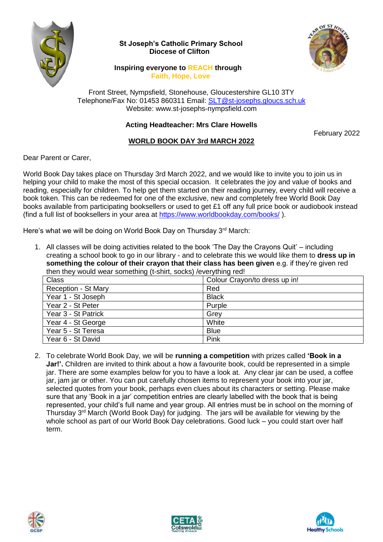

## **St Joseph's Catholic Primary School Diocese of Clifton**



## **Inspiring everyone to REACH through Faith, Hope, Love**

Front Street, Nympsfield, Stonehouse, Gloucestershire GL10 3TY Telephone/Fax No: 01453 860311 Email: [SLT@st-josephs.gloucs.sch.uk](mailto:SLT@st-josephs.gloucs.sch.uk) Website: www.st-josephs-nympsfield.com

## **Acting Headteacher: Mrs Clare Howells**

February 2022

## **WORLD BOOK DAY 3rd MARCH 2022**

Dear Parent or Carer,

World Book Day takes place on Thursday 3rd March 2022, and we would like to invite you to join us in helping your child to make the most of this special occasion. It celebrates the joy and value of books and reading, especially for children. To help get them started on their reading journey, every child will receive a book token. This can be redeemed for one of the exclusive, new and completely free World Book Day books available from participating booksellers or used to get £1 off any full price book or audiobook instead (find a full list of booksellers in your area at<https://www.worldbookday.com/books/> ).

Here's what we will be doing on World Book Day on Thursday 3rd March:

1. All classes will be doing activities related to the book 'The Day the Crayons Quit' – including creating a school book to go in our library - and to celebrate this we would like them to **dress up in something the colour of their crayon that their class has been given** e.g. if they're given red then they would wear something (t-shirt, socks) /everything red!

| <b>Class</b>        | Colour Crayon/to dress up in! |
|---------------------|-------------------------------|
| Reception - St Mary | Red                           |
| Year 1 - St Joseph  | <b>Black</b>                  |
| Year 2 - St Peter   | Purple                        |
| Year 3 - St Patrick | Grey                          |
| Year 4 - St George  | White                         |
| Year 5 - St Teresa  | <b>Blue</b>                   |
| Year 6 - St David   | Pink                          |

2. To celebrate World Book Day, we will be **running a competition** with prizes called **'Book in a Jar!'.** Children are invited to think about a how a favourite book, could be represented in a simple jar. There are some examples below for you to have a look at. Any clear jar can be used, a coffee jar, jam jar or other. You can put carefully chosen items to represent your book into your jar, selected quotes from your book, perhaps even clues about its characters or setting. Please make sure that any 'Book in a jar' competition entries are clearly labelled with the book that is being represented, your child's full name and year group. All entries must be in school on the morning of Thursday 3rd March (World Book Day) for judging. The jars will be available for viewing by the whole school as part of our World Book Day celebrations. Good luck – you could start over half term.